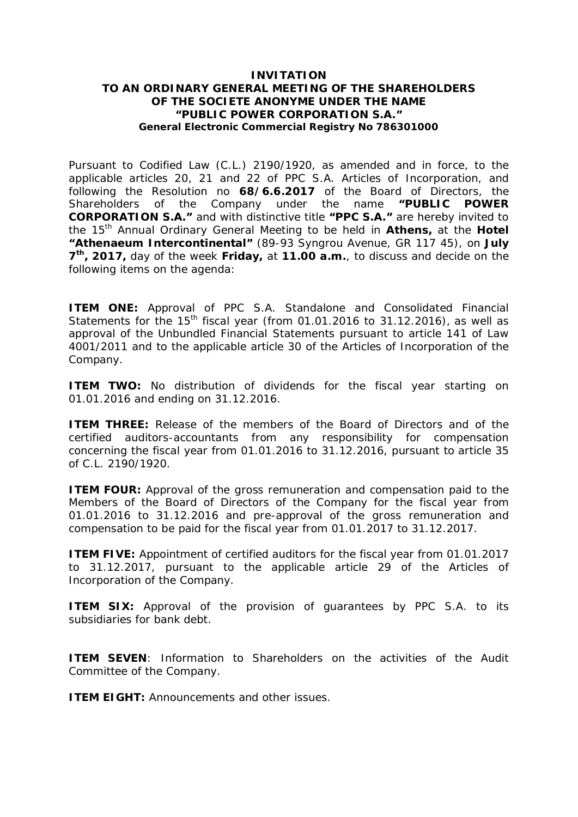### **INVITATION TO AN ORDINARY GENERAL MEETING OF THE SHAREHOLDERS OF THE SOCIETE ANONYME UNDER THE NAME "PUBLIC POWER CORPORATION S.A." General Electronic Commercial Registry No 786301000**

Pursuant to Codified Law (C.L.) 2190/1920, as amended and in force, to the applicable articles 20, 21 and 22 of PPC S.A. Articles of Incorporation, and following the Resolution no **68/6.6.2017** of the Board of Directors, the Shareholders of the Company under the name **"PUBLIC POWER CORPORATION S.A."** and with distinctive title **"PPC S.A."** are hereby invited to the 15th Annual Ordinary General Meeting to be held in **Athens,** at the **Hotel "Athenaeum Intercontinental"** (89-93 Syngrou Avenue, GR 117 45), on **July 7 th, 2017,** day of the week **Friday,** at **11.00 a.m.**, to discuss and decide on the following items on the agenda:

**ITEM ONE:** Approval of PPC S.A. Standalone and Consolidated Financial Statements for the  $15<sup>th</sup>$  fiscal year (from 01.01.2016 to 31.12.2016), as well as approval of the Unbundled Financial Statements pursuant to article 141 of Law 4001/2011 and to the applicable article 30 of the Articles of Incorporation of the Company.

**ITEM TWO:** No distribution of dividends for the fiscal year starting on 01.01.2016 and ending on 31.12.2016.

**ITEM THREE:** Release of the members of the Board of Directors and of the certified auditors-accountants from any responsibility for compensation concerning the fiscal year from 01.01.2016 to 31.12.2016, pursuant to article 35 of C.L. 2190/1920.

**ITEM FOUR:** Approval of the gross remuneration and compensation paid to the Members of the Board of Directors of the Company for the fiscal year from 01.01.2016 to 31.12.2016 and pre-approval of the gross remuneration and compensation to be paid for the fiscal year from 01.01.2017 to 31.12.2017.

**ITEM FIVE:** Appointment of certified auditors for the fiscal year from 01.01.2017 to 31.12.2017, pursuant to the applicable article 29 of the Articles of Incorporation of the Company.

**ITEM SIX:** Approval of the provision of guarantees by PPC S.A. to its subsidiaries for bank debt.

**ITEM SEVEN**: Information to Shareholders on the activities of the Audit Committee of the Company.

**ITEM EIGHT:** Announcements and other issues.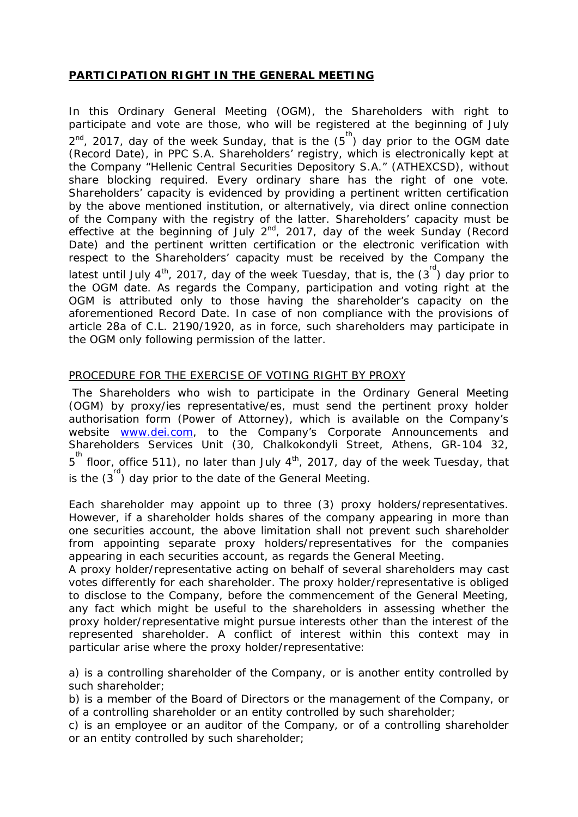# **PARTICIPATION RIGHT IN THE GENERAL MEETING**

In this Ordinary General Meeting (OGM), the Shareholders with right to participate and vote are those, who will be registered at the beginning of July  $2^{nd}$ , 2017, day of the week Sunday, that is the  $(5^{th})$  day prior to the OGM date (Record Date), in PPC S.A. Shareholders' registry, which is electronically kept at the Company "Hellenic Central Securities Depository S.A." (ATHEXCSD), without share blocking required. Every ordinary share has the right of one vote. Shareholders' capacity is evidenced by providing a pertinent written certification by the above mentioned institution, or alternatively, via direct online connection of the Company with the registry of the latter. Shareholders' capacity must be effective at the beginning of July  $2^{nd}$ , 2017, day of the week Sunday (Record Date) and the pertinent written certification or the electronic verification with respect to the Shareholders' capacity must be received by the Company the latest until July 4<sup>th</sup>, 2017, day of the week Tuesday, that is, the  $(3^{rd})$  day prior to the OGM date. As regards the Company, participation and voting right at the OGM is attributed only to those having the shareholder's capacity on the aforementioned Record Date. In case of non compliance with the provisions of article 28a of C.L. 2190/1920, as in force, such shareholders may participate in the OGM only following permission of the latter.

## PROCEDURE FOR THE EXERCISE OF VOTING RIGHT BY PROXY

 The Shareholders who wish to participate in the Ordinary General Meeting (OGM) by proxy/ies representative/es, must send the pertinent proxy holder authorisation form (Power of Attorney), which is available on the Company's website [www.dei.com,](http://www.dei.com/) to the Company's Corporate Announcements and Shareholders Services Unit (30, Chalkokondyli Street, Athens, GR-104 32, 5<sup>th</sup> floor, office 511), no later than July 4<sup>th</sup>, 2017, day of the week Tuesday, that is the  $(3^{rd})$  day prior to the date of the General Meeting.

Each shareholder may appoint up to three (3) proxy holders/representatives. However, if a shareholder holds shares of the company appearing in more than one securities account, the above limitation shall not prevent such shareholder from appointing separate proxy holders/representatives for the companies appearing in each securities account, as regards the General Meeting.

A proxy holder/representative acting on behalf of several shareholders may cast votes differently for each shareholder. The proxy holder/representative is obliged to disclose to the Company, before the commencement of the General Meeting, any fact which might be useful to the shareholders in assessing whether the proxy holder/representative might pursue interests other than the interest of the represented shareholder. A conflict of interest within this context may in particular arise where the proxy holder/representative:

a) is a controlling shareholder of the Company, or is another entity controlled by such shareholder;

b) is a member of the Board of Directors or the management of the Company, or of a controlling shareholder or an entity controlled by such shareholder;

c) is an employee or an auditor of the Company, or of a controlling shareholder or an entity controlled by such shareholder;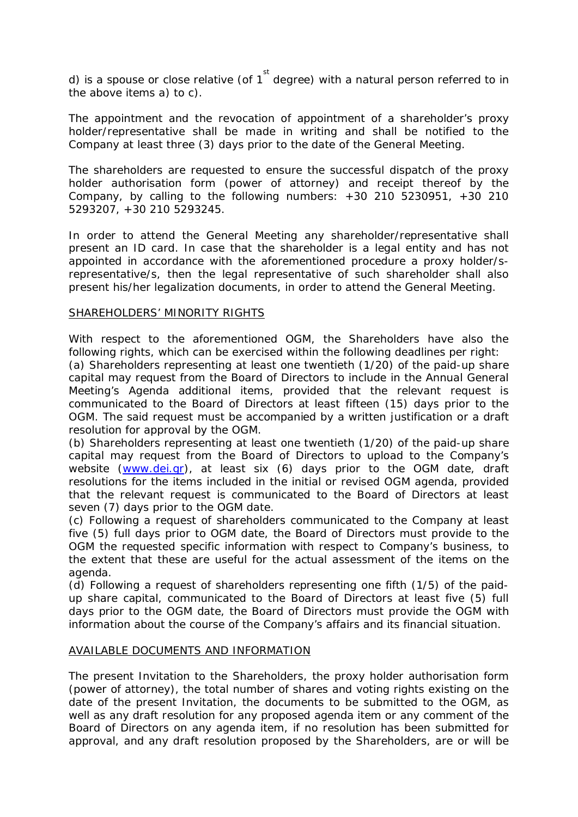d) is a spouse or close relative (of 1  $\overline{ }$  degree) with a natural person referred to in the above items a) to c).

The appointment and the revocation of appointment of a shareholder's proxy holder/representative shall be made in writing and shall be notified to the Company at least three (3) days prior to the date of the General Meeting.

The shareholders are requested to ensure the successful dispatch of the proxy holder authorisation form (power of attorney) and receipt thereof by the Company, by calling to the following numbers:  $+30$  210 5230951,  $+30$  210 5293207, +30 210 5293245.

In order to attend the General Meeting any shareholder/representative shall present an ID card. In case that the shareholder is a legal entity and has not appointed in accordance with the aforementioned procedure a proxy holder/srepresentative/s, then the legal representative of such shareholder shall also present his/her legalization documents, in order to attend the General Meeting.

#### SHAREHOLDERS' MINORITY RIGHTS

With respect to the aforementioned OGM, the Shareholders have also the following rights, which can be exercised within the following deadlines per right:

(a) Shareholders representing at least one twentieth (1/20) of the paid-up share capital may request from the Board of Directors to include in the Annual General Meeting's Agenda additional items, provided that the relevant request is communicated to the Board of Directors at least fifteen (15) days prior to the OGM. The said request must be accompanied by a written justification or a draft resolution for approval by the OGM.

(b) Shareholders representing at least one twentieth (1/20) of the paid-up share capital may request from the Board of Directors to upload to the Company's website ([www.dei.gr](http://www.dei.gr/)), at least six (6) days prior to the OGM date, draft resolutions for the items included in the initial or revised OGM agenda, provided that the relevant request is communicated to the Board of Directors at least seven (7) days prior to the OGM date.

(c) Following a request of shareholders communicated to the Company at least five (5) full days prior to OGM date, the Board of Directors must provide to the OGM the requested specific information with respect to Company's business, to the extent that these are useful for the actual assessment of the items on the agenda.

(d) Following a request of shareholders representing one fifth (1/5) of the paidup share capital, communicated to the Board of Directors at least five (5) full days prior to the OGM date, the Board of Directors must provide the OGM with information about the course of the Company's affairs and its financial situation.

#### AVAILABLE DOCUMENTS AND INFORMATION

The present Invitation to the Shareholders, the proxy holder authorisation form (power of attorney), the total number of shares and voting rights existing on the date of the present Invitation, the documents to be submitted to the OGM, as well as any draft resolution for any proposed agenda item or any comment of the Board of Directors on any agenda item, if no resolution has been submitted for approval, and any draft resolution proposed by the Shareholders, are or will be